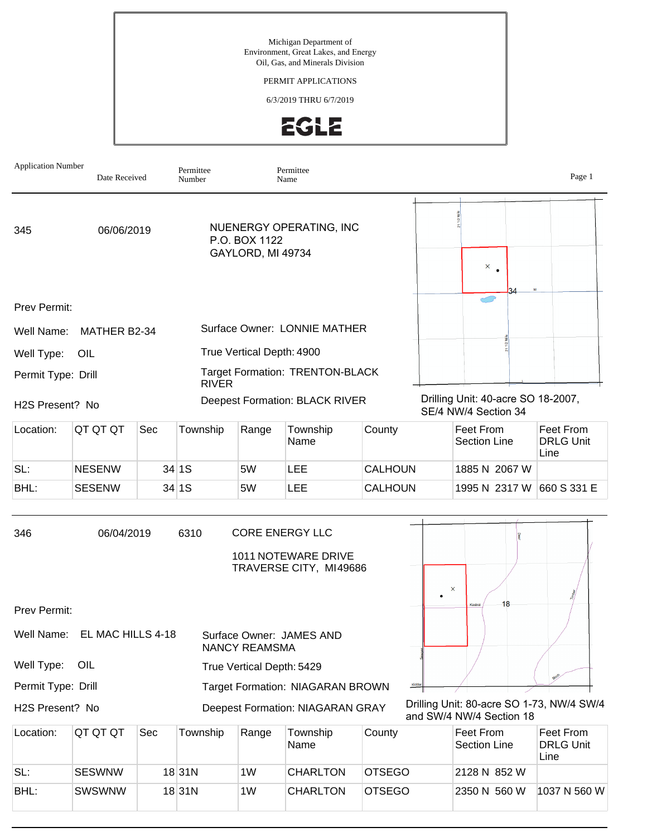Michigan Department of Environment, Great Lakes, and Energy Oil, Gas, and Minerals Division

## PERMIT APPLICATIONS

6/3/2019 THRU 6/7/2019



| <b>Application Number</b>                                                           | Date Received |              | Permittee<br>Number                                           |                                       | Permittee<br>Name                                                              |                |        |                                                                       | Page 1                                |  |  |
|-------------------------------------------------------------------------------------|---------------|--------------|---------------------------------------------------------------|---------------------------------------|--------------------------------------------------------------------------------|----------------|--------|-----------------------------------------------------------------------|---------------------------------------|--|--|
| 345                                                                                 | 06/06/2019    |              | NUENERGY OPERATING, INC<br>P.O. BOX 1122<br>GAYLORD, MI 49734 |                                       |                                                                                |                |        | $\times$ $_{\bullet}$                                                 |                                       |  |  |
| Prev Permit:                                                                        |               |              |                                                               |                                       |                                                                                |                |        |                                                                       |                                       |  |  |
| Well Name:                                                                          | MATHER B2-34  |              | Surface Owner: LONNIE MATHER                                  |                                       |                                                                                |                |        |                                                                       |                                       |  |  |
| Well Type:                                                                          |               |              | True Vertical Depth: 4900                                     |                                       |                                                                                |                |        |                                                                       |                                       |  |  |
| Permit Type: Drill                                                                  |               | <b>RIVER</b> | <b>Target Formation: TRENTON-BLACK</b>                        |                                       |                                                                                |                |        |                                                                       |                                       |  |  |
| H <sub>2</sub> S Present? No                                                        |               |              |                                                               | <b>Deepest Formation: BLACK RIVER</b> |                                                                                |                |        | Drilling Unit: 40-acre SO 18-2007,<br>SE/4 NW/4 Section 34            |                                       |  |  |
| Location:                                                                           | QT QT QT      | Sec          | Township                                                      | Range                                 | Township<br>Name                                                               | County         |        | Feet From<br><b>Section Line</b>                                      | Feet From<br><b>DRLG Unit</b><br>Line |  |  |
| SL:                                                                                 | <b>NESENW</b> |              | 34 1S                                                         | 5W                                    | <b>LEE</b>                                                                     | <b>CALHOUN</b> |        | 1885 N 2067 W                                                         |                                       |  |  |
| BHL:                                                                                | <b>SESENW</b> |              | 34 1S                                                         | 5W                                    | LEE                                                                            | <b>CALHOUN</b> |        | 1995 N 2317 W 660 S 331 E                                             |                                       |  |  |
| 346                                                                                 | 06/04/2019    |              | 6310                                                          |                                       | <b>CORE ENERGY LLC</b><br><b>1011 NOTEWARE DRIVE</b><br>TRAVERSE CITY, MI49686 |                |        | $\pmb{\times}$                                                        |                                       |  |  |
| Prev Permit:                                                                        |               |              |                                                               |                                       |                                                                                |                |        | 18                                                                    |                                       |  |  |
| EL MAC HILLS 4-18<br>Well Name:<br>Surface Owner: JAMES AND<br><b>NANCY REAMSMA</b> |               |              |                                                               |                                       |                                                                                |                |        |                                                                       |                                       |  |  |
| Well Type:                                                                          | OIL           |              |                                                               | True Vertical Depth: 5429             |                                                                                |                |        |                                                                       |                                       |  |  |
| Permit Type: Drill                                                                  |               |              |                                                               |                                       | Target Formation: NIAGARAN BROWN                                               |                | Kidder |                                                                       |                                       |  |  |
| H2S Present? No                                                                     |               |              |                                                               |                                       | <b>Deepest Formation: NIAGARAN GRAY</b>                                        |                |        | Drilling Unit: 80-acre SO 1-73, NW/4 SW/4<br>and SW/4 NW/4 Section 18 |                                       |  |  |
| Location:                                                                           | QT QT QT      | Sec          | Township                                                      | Range                                 | Township<br>Name                                                               | County         |        | Feet From<br><b>Section Line</b>                                      | Feet From<br><b>DRLG Unit</b><br>Line |  |  |
| SL:                                                                                 | <b>SESWNW</b> |              | $18$ 31N                                                      | 1W                                    | <b>CHARLTON</b>                                                                | <b>OTSEGO</b>  |        | 2128 N 852 W                                                          |                                       |  |  |
| BHL:                                                                                | SWSWNW        |              | $18$ 31N                                                      | 1W                                    | <b>CHARLTON</b>                                                                | <b>OTSEGO</b>  |        | 2350 N 560 W                                                          | 1037 N 560 W                          |  |  |